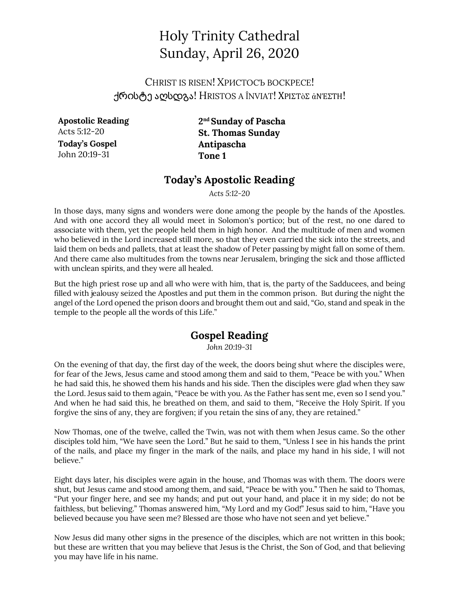# Holy Trinity Cathedral Sunday, April 26, 2020

CHRIST IS RISEN! ХРИСТОСЪ ВОСКРЕСЕ! Η ΜΟΛΑΣΙ Η ΑΙΣΤΟΣ Α ΙΝΝΑΤ! ΧΡΙΣΤΟΣ άΝΈΣΤΗ!

**Apostolic Reading** Acts 5:12-20 **Today's Gospel** John 20:19-31

**2nd Sunday of Pascha St. Thomas Sunday Antipascha Tone 1**

### **Today's Apostolic Reading**

*Acts 5:12-20*

In those days, many signs and wonders were done among the people by the hands of the Apostles. And with one accord they all would meet in Solomon's portico; but of the rest, no one dared to associate with them, yet the people held them in high honor. And the multitude of men and women who believed in the Lord increased still more, so that they even carried the sick into the streets, and laid them on beds and pallets, that at least the shadow of Peter passing by might fall on some of them. And there came also multitudes from the towns near Jerusalem, bringing the sick and those afflicted with unclean spirits, and they were all healed.

But the high priest rose up and all who were with him, that is, the party of the Sadducees, and being filled with jealousy seized the Apostles and put them in the common prison. But during the night the angel of the Lord opened the prison doors and brought them out and said, "Go, stand and speak in the temple to the people all the words of this Life."

## **Gospel Reading**

*John 20:19-31*

On the evening of that day, the first day of the week, the doors being shut where the disciples were, for fear of the Jews, Jesus came and stood among them and said to them, "Peace be with you." When he had said this, he showed them his hands and his side. Then the disciples were glad when they saw the Lord. Jesus said to them again, "Peace be with you. As the Father has sent me, even so I send you." And when he had said this, he breathed on them, and said to them, "Receive the Holy Spirit. If you forgive the sins of any, they are forgiven; if you retain the sins of any, they are retained."

Now Thomas, one of the twelve, called the Twin, was not with them when Jesus came. So the other disciples told him, "We have seen the Lord." But he said to them, "Unless I see in his hands the print of the nails, and place my finger in the mark of the nails, and place my hand in his side, I will not believe."

Eight days later, his disciples were again in the house, and Thomas was with them. The doors were shut, but Jesus came and stood among them, and said, "Peace be with you." Then he said to Thomas, "Put your finger here, and see my hands; and put out your hand, and place it in my side; do not be faithless, but believing." Thomas answered him, "My Lord and my God!" Jesus said to him, "Have you believed because you have seen me? Blessed are those who have not seen and yet believe."

Now Jesus did many other signs in the presence of the disciples, which are not written in this book; but these are written that you may believe that Jesus is the Christ, the Son of God, and that believing you may have life in his name.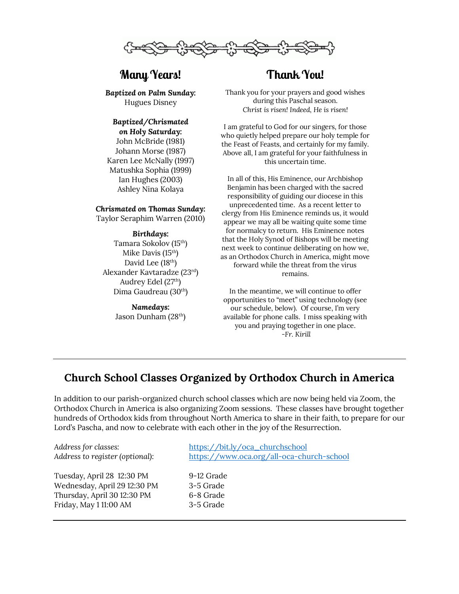

# **Many Years!**

*Baptized on Palm Sunday:* Hugues Disney

#### *Baptized/Chrismated on Holy Saturday:*

John McBride (1981) Johann Morse (1987) Karen Lee McNally (1997) Matushka Sophia (1999) Ian Hughes (2003) Ashley Nina Kolaya

#### *Chrismated on Thomas Sunday:*

Taylor Seraphim Warren (2010)

#### *Birthdays:*

Tamara Sokolov (15th) Mike Davis (15th) David Lee (18<sup>th</sup>) Alexander Kavtaradze (23rd) Audrey Edel  $(27<sup>th</sup>)$ Dima Gaudreau (30th)

#### *Namedays:* Jason Dunham (28th)

# **Thank You!**

Thank you for your prayers and good wishes during this Paschal season. *Christ is risen! Indeed, He is risen!*

I am grateful to God for our singers, for those who quietly helped prepare our holy temple for the Feast of Feasts, and certainly for my family. Above all, I am grateful for your faithfulness in this uncertain time.

In all of this, His Eminence, our Archbishop Benjamin has been charged with the sacred responsibility of guiding our diocese in this unprecedented time. As a recent letter to clergy from His Eminence reminds us, it would appear we may all be waiting quite some time for normalcy to return. His Eminence notes that the Holy Synod of Bishops will be meeting next week to continue deliberating on how we, as an Orthodox Church in America, might move forward while the threat from the virus remains.

In the meantime, we will continue to offer opportunities to "meet" using technology (see our schedule, below). Of course, I'm very available for phone calls. I miss speaking with you and praying together in one place. *-Fr. Kirill*

## **Church School Classes Organized by Orthodox Church in America**

In addition to our parish-organized church school classes which are now being held via Zoom, the Orthodox Church in America is also organizing Zoom sessions. These classes have brought together hundreds of Orthodox kids from throughout North America to share in their faith, to prepare for our Lord's Pascha, and now to celebrate with each other in the joy of the Resurrection.

Tuesday, April 28 12:30 PM 9-12 Grade Wednesday, April 29 12:30 PM 3-5 Grade Thursday, April 30 12:30 PM 6-8 Grade Friday, May 1 11:00 AM 3-5 Grade

*Address for classes:* https://bit.ly/oca\_churchschool *Address to register (optional):* https://www.oca.org/all-oca-church-school